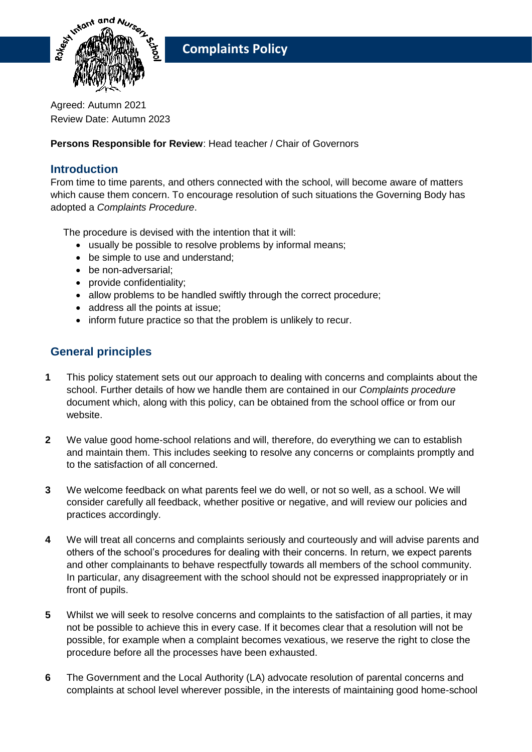

Agreed: Autumn 2021 Review Date: Autumn 2023

**Persons Responsible for Review**: Head teacher / Chair of Governors

## **Introduction**

From time to time parents, and others connected with the school, will become aware of matters which cause them concern. To encourage resolution of such situations the Governing Body has adopted a *Complaints Procedure*.

The procedure is devised with the intention that it will:

- usually be possible to resolve problems by informal means;
- be simple to use and understand;
- be non-adversarial:
- provide confidentiality;
- allow problems to be handled swiftly through the correct procedure;
- address all the points at issue;
- inform future practice so that the problem is unlikely to recur.

## **General principles**

- **1** This policy statement sets out our approach to dealing with concerns and complaints about the school. Further details of how we handle them are contained in our *Complaints procedure* document which, along with this policy, can be obtained from the school office or from our website.
- **2** We value good home-school relations and will, therefore, do everything we can to establish and maintain them. This includes seeking to resolve any concerns or complaints promptly and to the satisfaction of all concerned.
- **3** We welcome feedback on what parents feel we do well, or not so well, as a school. We will consider carefully all feedback, whether positive or negative, and will review our policies and practices accordingly.
- **4** We will treat all concerns and complaints seriously and courteously and will advise parents and others of the school's procedures for dealing with their concerns. In return, we expect parents and other complainants to behave respectfully towards all members of the school community. In particular, any disagreement with the school should not be expressed inappropriately or in front of pupils.
- **5** Whilst we will seek to resolve concerns and complaints to the satisfaction of all parties, it may not be possible to achieve this in every case. If it becomes clear that a resolution will not be possible, for example when a complaint becomes vexatious, we reserve the right to close the procedure before all the processes have been exhausted.
- **6** The Government and the Local Authority (LA) advocate resolution of parental concerns and complaints at school level wherever possible, in the interests of maintaining good home-school